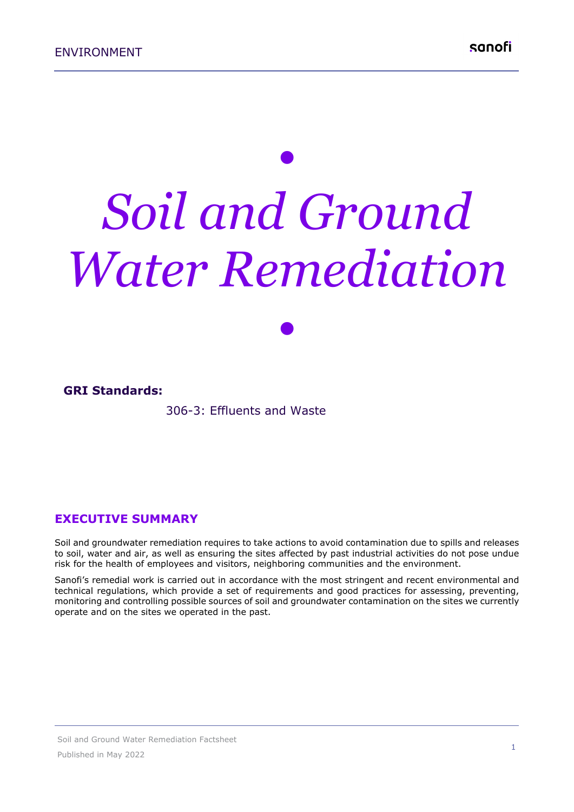# *• Soil and Ground Water Remediation*

*•*

#### **GRI Standards:**

306-3: Effluents and Waste

#### **EXECUTIVE SUMMARY**

Soil and groundwater remediation requires to take actions to avoid contamination due to spills and releases to soil, water and air, as well as ensuring the sites affected by past industrial activities do not pose undue risk for the health of employees and visitors, neighboring communities and the environment.

Sanofi's remedial work is carried out in accordance with the most stringent and recent environmental and technical regulations, which provide a set of requirements and good practices for assessing, preventing, monitoring and controlling possible sources of soil and groundwater contamination on the sites we currently operate and on the sites we operated in the past.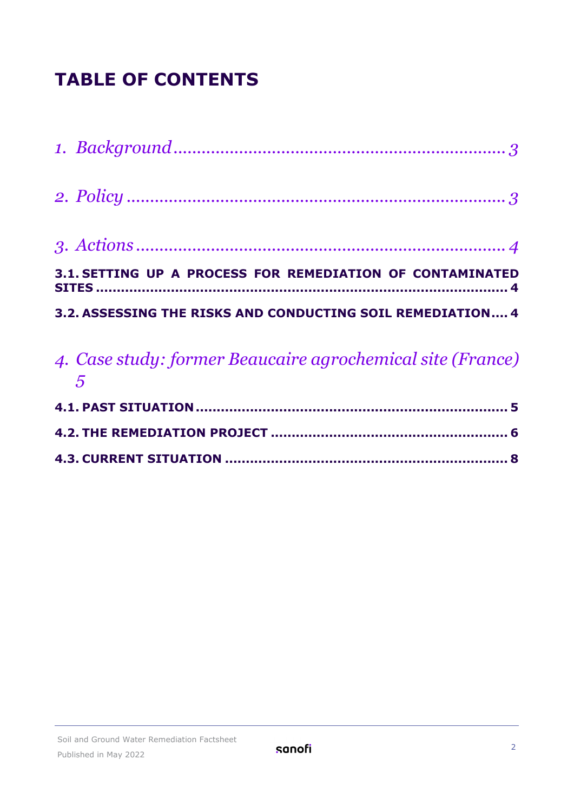## **TABLE OF CONTENTS**

| 4. Case study: former Beaucaire agrochemical site (France)<br>$\overline{5}$ |
|------------------------------------------------------------------------------|
| 3.2. ASSESSING THE RISKS AND CONDUCTING SOIL REMEDIATION 4                   |
| 3.1. SETTING UP A PROCESS FOR REMEDIATION OF CONTAMINATED                    |
|                                                                              |
|                                                                              |
|                                                                              |

|--|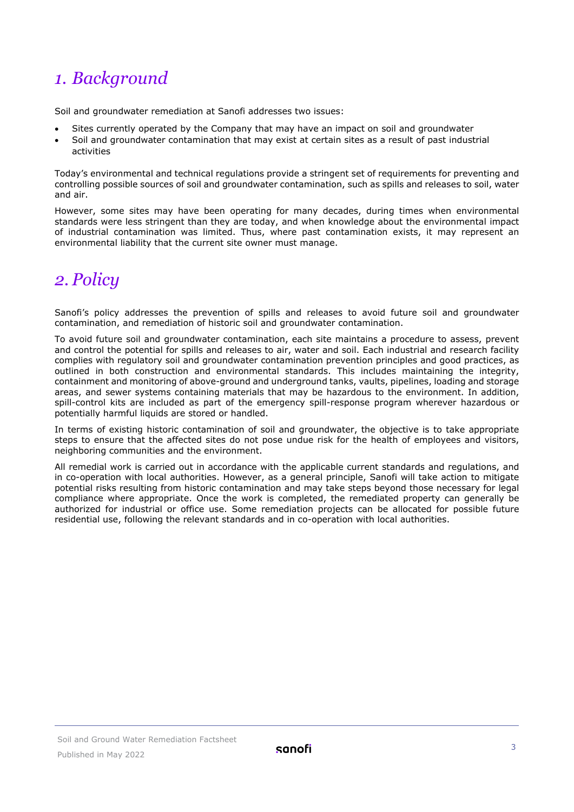## <span id="page-2-0"></span>*1. Background*

Soil and groundwater remediation at Sanofi addresses two issues:

- Sites currently operated by the Company that may have an impact on soil and groundwater
- Soil and groundwater contamination that may exist at certain sites as a result of past industrial activities

Today's environmental and technical regulations provide a stringent set of requirements for preventing and controlling possible sources of soil and groundwater contamination, such as spills and releases to soil, water and air.

However, some sites may have been operating for many decades, during times when environmental standards were less stringent than they are today, and when knowledge about the environmental impact of industrial contamination was limited. Thus, where past contamination exists, it may represent an environmental liability that the current site owner must manage.

## <span id="page-2-1"></span>*2. Policy*

Sanofi's policy addresses the prevention of spills and releases to avoid future soil and groundwater contamination, and remediation of historic soil and groundwater contamination.

To avoid future soil and groundwater contamination, each site maintains a procedure to assess, prevent and control the potential for spills and releases to air, water and soil. Each industrial and research facility complies with regulatory soil and groundwater contamination prevention principles and good practices, as outlined in both construction and environmental standards. This includes maintaining the integrity, containment and monitoring of above-ground and underground tanks, vaults, pipelines, loading and storage areas, and sewer systems containing materials that may be hazardous to the environment. In addition, spill-control kits are included as part of the emergency spill-response program wherever hazardous or potentially harmful liquids are stored or handled.

In terms of existing historic contamination of soil and groundwater, the objective is to take appropriate steps to ensure that the affected sites do not pose undue risk for the health of employees and visitors, neighboring communities and the environment.

All remedial work is carried out in accordance with the applicable current standards and regulations, and in co-operation with local authorities. However, as a general principle, Sanofi will take action to mitigate potential risks resulting from historic contamination and may take steps beyond those necessary for legal compliance where appropriate. Once the work is completed, the remediated property can generally be authorized for industrial or office use. Some remediation projects can be allocated for possible future residential use, following the relevant standards and in co-operation with local authorities.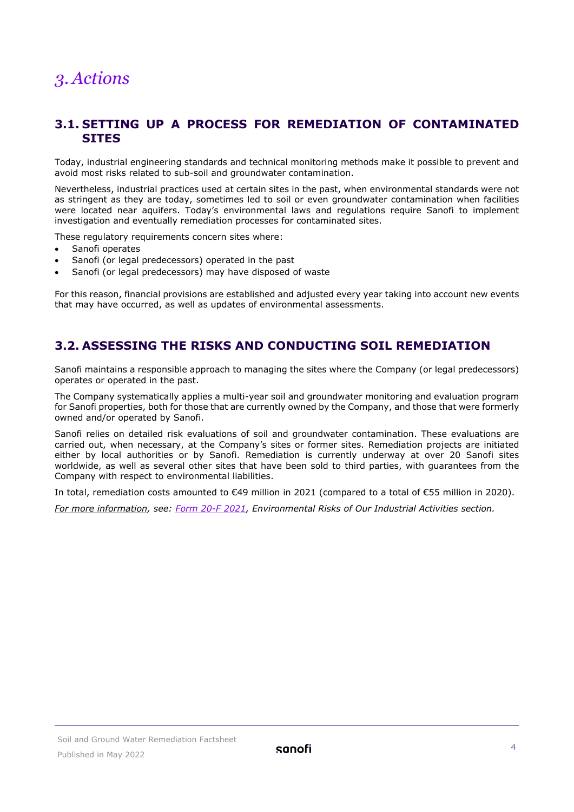## <span id="page-3-0"></span>*3. Actions*

#### <span id="page-3-1"></span>**3.1. SETTING UP A PROCESS FOR REMEDIATION OF CONTAMINATED SITES**

Today, industrial engineering standards and technical monitoring methods make it possible to prevent and avoid most risks related to sub-soil and groundwater contamination.

Nevertheless, industrial practices used at certain sites in the past, when environmental standards were not as stringent as they are today, sometimes led to soil or even groundwater contamination when facilities were located near aquifers. Today's environmental laws and regulations require Sanofi to implement investigation and eventually remediation processes for contaminated sites.

These regulatory requirements concern sites where:

- Sanofi operates
- Sanofi (or legal predecessors) operated in the past
- Sanofi (or legal predecessors) may have disposed of waste

For this reason, financial provisions are established and adjusted every year taking into account new events that may have occurred, as well as updates of environmental assessments.

#### <span id="page-3-2"></span>**3.2. ASSESSING THE RISKS AND CONDUCTING SOIL REMEDIATION**

Sanofi maintains a responsible approach to managing the sites where the Company (or legal predecessors) operates or operated in the past.

The Company systematically applies a multi-year soil and groundwater monitoring and evaluation program for Sanofi properties, both for those that are currently owned by the Company, and those that were formerly owned and/or operated by Sanofi.

Sanofi relies on detailed risk evaluations of soil and groundwater contamination. These evaluations are carried out, when necessary, at the Company's sites or former sites. Remediation projects are initiated either by local authorities or by Sanofi. Remediation is currently underway at over 20 Sanofi sites worldwide, as well as several other sites that have been sold to third parties, with guarantees from the Company with respect to environmental liabilities.

In total, remediation costs amounted to €49 million in 2021 (compared to a total of €55 million in 2020).

*For more information, see: [Form 20-F 2021,](https://www.sanofi.com/-/media/Project/One-Sanofi-Web/Websites/Global/Sanofi-COM/Home/common/docs/investors/Form-20-F-2021.pdf?la=en&hash=CAAE985DF6C8BE3934517A429AD5ECA8) Environmental Risks of Our Industrial Activities section.*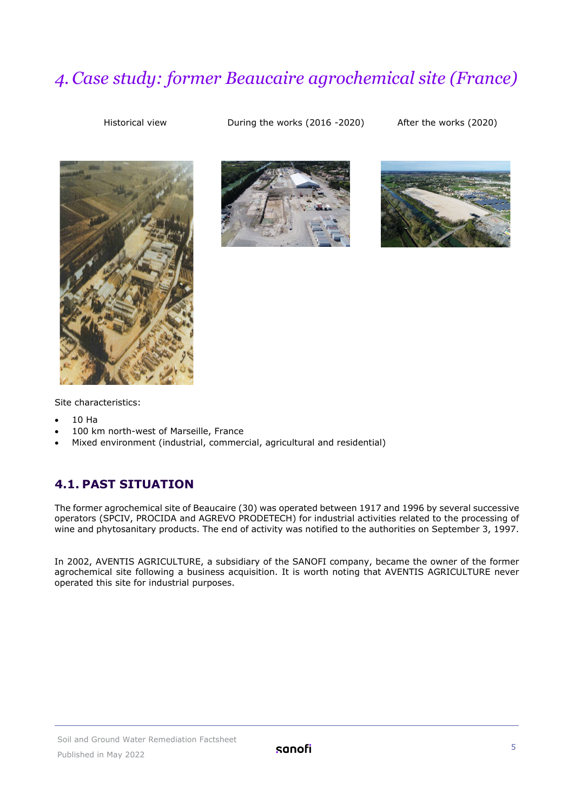## <span id="page-4-0"></span>*4. Case study: former Beaucaire agrochemical site (France)*

Historical view During the works (2016 -2020) After the works (2020)







Site characteristics:

- 10 Ha
- 100 km north-west of Marseille, France
- Mixed environment (industrial, commercial, agricultural and residential)

#### <span id="page-4-1"></span>**4.1. PAST SITUATION**

The former agrochemical site of Beaucaire (30) was operated between 1917 and 1996 by several successive operators (SPCIV, PROCIDA and AGREVO PRODETECH) for industrial activities related to the processing of wine and phytosanitary products. The end of activity was notified to the authorities on September 3, 1997.

In 2002, AVENTIS AGRICULTURE, a subsidiary of the SANOFI company, became the owner of the former agrochemical site following a business acquisition. It is worth noting that AVENTIS AGRICULTURE never operated this site for industrial purposes.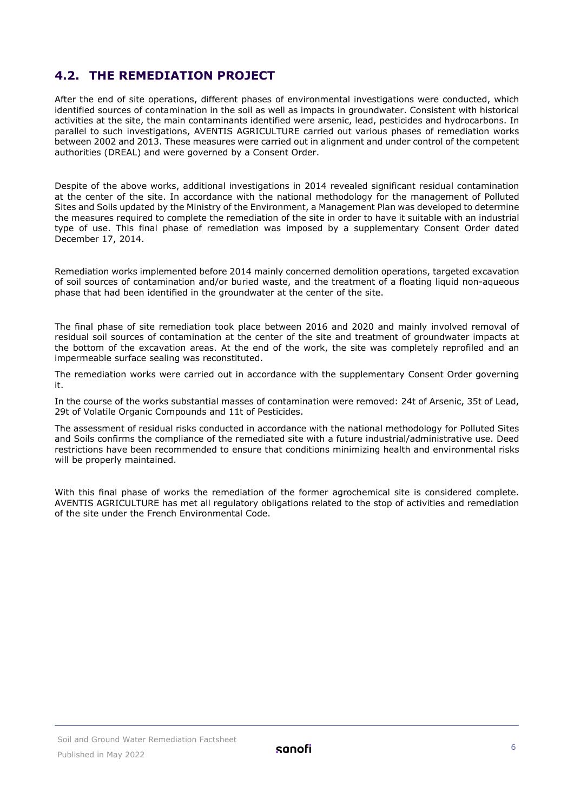#### <span id="page-5-0"></span>**4.2. THE REMEDIATION PROJECT**

After the end of site operations, different phases of environmental investigations were conducted, which identified sources of contamination in the soil as well as impacts in groundwater. Consistent with historical activities at the site, the main contaminants identified were arsenic, lead, pesticides and hydrocarbons. In parallel to such investigations, AVENTIS AGRICULTURE carried out various phases of remediation works between 2002 and 2013. These measures were carried out in alignment and under control of the competent authorities (DREAL) and were governed by a Consent Order.

Despite of the above works, additional investigations in 2014 revealed significant residual contamination at the center of the site. In accordance with the national methodology for the management of Polluted Sites and Soils updated by the Ministry of the Environment, a Management Plan was developed to determine the measures required to complete the remediation of the site in order to have it suitable with an industrial type of use. This final phase of remediation was imposed by a supplementary Consent Order dated December 17, 2014.

Remediation works implemented before 2014 mainly concerned demolition operations, targeted excavation of soil sources of contamination and/or buried waste, and the treatment of a floating liquid non-aqueous phase that had been identified in the groundwater at the center of the site.

The final phase of site remediation took place between 2016 and 2020 and mainly involved removal of residual soil sources of contamination at the center of the site and treatment of groundwater impacts at the bottom of the excavation areas. At the end of the work, the site was completely reprofiled and an impermeable surface sealing was reconstituted.

The remediation works were carried out in accordance with the supplementary Consent Order governing it.

In the course of the works substantial masses of contamination were removed: 24t of Arsenic, 35t of Lead, 29t of Volatile Organic Compounds and 11t of Pesticides.

The assessment of residual risks conducted in accordance with the national methodology for Polluted Sites and Soils confirms the compliance of the remediated site with a future industrial/administrative use. Deed restrictions have been recommended to ensure that conditions minimizing health and environmental risks will be properly maintained.

With this final phase of works the remediation of the former agrochemical site is considered complete. AVENTIS AGRICULTURE has met all regulatory obligations related to the stop of activities and remediation of the site under the French Environmental Code.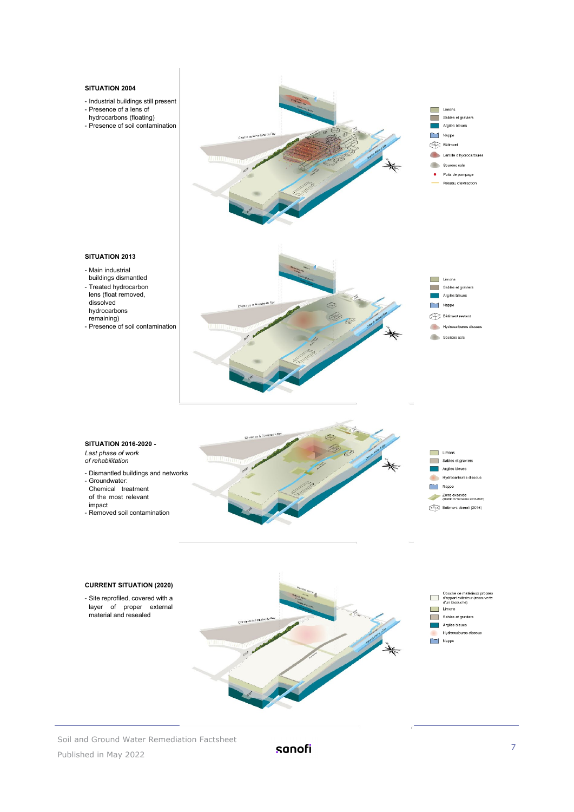#### **SITUATION 2004**

impact

- Industrial buildings still present
- Presence of a lens of
- hydrocarbons (floating)
- Presence of soil contamination



Soil and Ground Water Remediation Factsheet Published in May 2022

sanofi